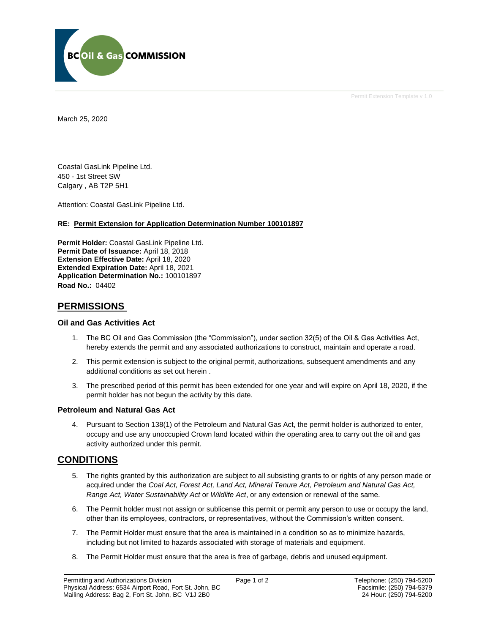

Permit Extension Template v 1.0

March 25, 2020

Coastal GasLink Pipeline Ltd. 450 - 1st Street SW Calgary , AB T2P 5H1

Attention: Coastal GasLink Pipeline Ltd.

#### **RE: Permit Extension for Application Determination Number 100101897**

**Permit Holder:** Coastal GasLink Pipeline Ltd. **Permit Date of Issuance:** April 18, 2018 **Extension Effective Date:** April 18, 2020 **Extended Expiration Date:** April 18, 2021 **Application Determination No.:** 100101897 **Road No.:** 04402

### **PERMISSIONS**

### **Oil and Gas Activities Act**

- 1. The BC Oil and Gas Commission (the "Commission"), under section 32(5) of the Oil & Gas Activities Act, hereby extends the permit and any associated authorizations to construct, maintain and operate a road.
- 2. This permit extension is subject to the original permit, authorizations, subsequent amendments and any additional conditions as set out herein .
- 3. The prescribed period of this permit has been extended for one year and will expire on April 18, 2020, if the permit holder has not begun the activity by this date.

### **Petroleum and Natural Gas Act**

4. Pursuant to Section 138(1) of the Petroleum and Natural Gas Act, the permit holder is authorized to enter, occupy and use any unoccupied Crown land located within the operating area to carry out the oil and gas activity authorized under this permit.

### **CONDITIONS**

- 5. The rights granted by this authorization are subject to all subsisting grants to or rights of any person made or acquired under the *Coal Act, Forest Act, Land Act, Mineral Tenure Act, Petroleum and Natural Gas Act, Range Act, Water Sustainability Act* or *Wildlife Act*, or any extension or renewal of the same.
- 6. The Permit holder must not assign or sublicense this permit or permit any person to use or occupy the land, other than its employees, contractors, or representatives, without the Commission's written consent.
- 7. The Permit Holder must ensure that the area is maintained in a condition so as to minimize hazards, including but not limited to hazards associated with storage of materials and equipment.
- 8. The Permit Holder must ensure that the area is free of garbage, debris and unused equipment.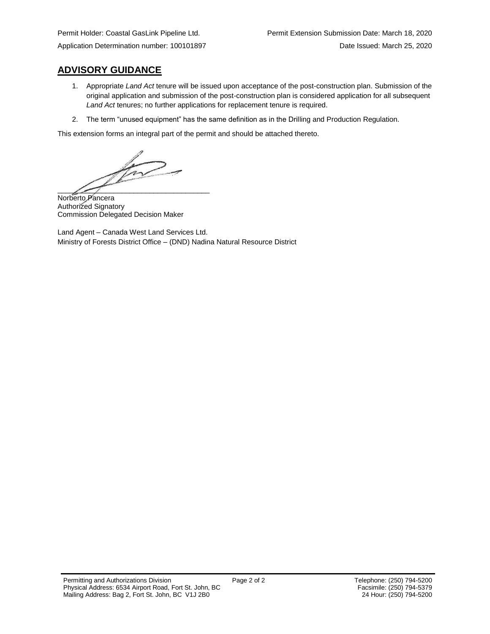# **ADVISORY GUIDANCE**

- 1. Appropriate *Land Act* tenure will be issued upon acceptance of the post-construction plan. Submission of the original application and submission of the post-construction plan is considered application for all subsequent *Land Act* tenures; no further applications for replacement tenure is required.
- 2. The term "unused equipment" has the same definition as in the Drilling and Production Regulation.

This extension forms an integral part of the permit and should be attached thereto.

Try  $\overline{\phantom{a}}$ 

Norberto Pancera Authorized Signatory Commission Delegated Decision Maker

Land Agent – Canada West Land Services Ltd. Ministry of Forests District Office – (DND) Nadina Natural Resource District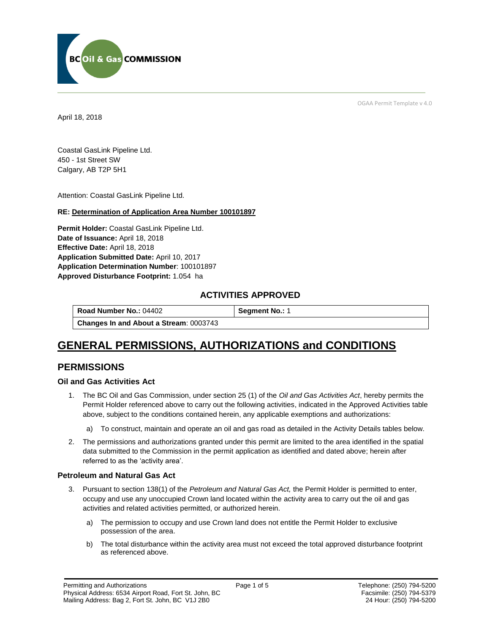

OGAA Permit Template v 4.0

April 18, 2018

Coastal GasLink Pipeline Ltd. 450 - 1st Street SW Calgary, AB T2P 5H1

[Attention:](#page-2-0) Coastal GasLink Pipeline Ltd.

### **RE: Determination of Application Area Number 100101897**

**[Permit Holder:](#page-2-0)** Coastal GasLink Pipeline Ltd. **[Date of Issuance:](#page-2-0)** April 18, 2018 **[Effective Date:](#page-2-1)** April 18, 2018 **[Application Submitted Date:](#page-2-0)** April 10, 2017 **[Application Determination Number](#page-2-0)**: 100101897 **Approved Disturbance Footprint:** 1.054 ha

### **ACTIVITIES APPROVED**

| Road Number No.: 04402                        | Segment No.: 1 |
|-----------------------------------------------|----------------|
| <b>Changes In and About a Stream: 0003743</b> |                |

# **GENERAL PERMISSIONS, AUTHORIZATIONS and CONDITIONS**

### **PERMISSIONS**

### **Oil and Gas Activities Act**

- <span id="page-2-0"></span>1. The BC Oil and Gas Commission, under section 25 (1) of the *Oil and Gas Activities Act*, hereby permits the Permit Holder referenced above to carry out the following activities, indicated in the Approved Activities table above, subject to the conditions contained herein, any applicable exemptions and authorizations:
	- a) To construct, maintain and operate an oil and gas road as detailed in the Activity Details tables below.
- <span id="page-2-1"></span>2. The permissions and authorizations granted under this permit are limited to the area identified in the spatial data submitted to the Commission in the permit application as identified and dated above; herein after referred to as the 'activity area'.

### **Petroleum and Natural Gas Act**

- 3. Pursuant to section 138(1) of the *Petroleum and Natural Gas Act,* the Permit Holder is permitted to enter, occupy and use any unoccupied Crown land located within the activity area to carry out the oil and gas activities and related activities permitted, or authorized herein.
	- a) The permission to occupy and use Crown land does not entitle the Permit Holder to exclusive possession of the area.
	- b) The total disturbance within the activity area must not exceed the total approved disturbance footprint as referenced above.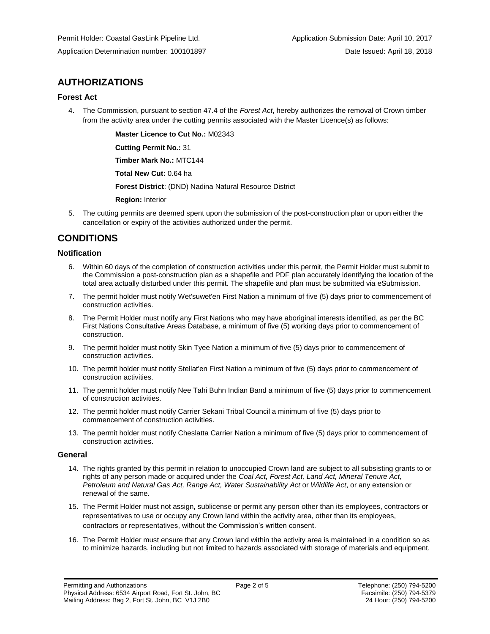### **AUTHORIZATIONS**

### **Forest Act**

4. The Commission, pursuant to section 47.4 of the *Forest Act*, hereby authorizes the removal of Crown timber from the activity area under the cutting permits associated with the Master Licence(s) as follows:

**[Master Licence to Cut No.:](#page-2-0)** M02343

**[Cutting Permit No.:](#page-2-0)** 31

**[Timber Mark No.:](#page-2-0)** MTC144

**[Total New Cut:](#page-2-0)** 0.64 ha

**[Forest District](https://ams-crd.bcogc.ca/crd/)**: (DND) Nadina Natural Resource District

**[Region:](#page-2-1)** Interior

5. The cutting permits are deemed spent upon the submission of the post-construction plan or upon either the cancellation or expiry of the activities authorized under the permit.

### **CONDITIONS**

### **Notification**

- 6. Within 60 days of the completion of construction activities under this permit, the Permit Holder must submit to the Commission a post-construction plan as a shapefile and PDF plan accurately identifying the location of the total area actually disturbed under this permit. The shapefile and plan must be submitted via eSubmission.
- 7. The permit holder must notify Wet'suwet'en First Nation a minimum of five (5) days prior to commencement of construction activities.
- 8. The Permit Holder must notify any First Nations who may have aboriginal interests identified, as per the BC First Nations Consultative Areas Database, a minimum of five (5) working days prior to commencement of construction.
- 9. The permit holder must notify Skin Tyee Nation a minimum of five (5) days prior to commencement of construction activities.
- 10. The permit holder must notify Stellat'en First Nation a minimum of five (5) days prior to commencement of construction activities.
- 11. The permit holder must notify Nee Tahi Buhn Indian Band a minimum of five (5) days prior to commencement of construction activities.
- 12. The permit holder must notify Carrier Sekani Tribal Council a minimum of five (5) days prior to commencement of construction activities.
- 13. The permit holder must notify Cheslatta Carrier Nation a minimum of five (5) days prior to commencement of construction activities.

### **General**

- 14. The rights granted by this permit in relation to unoccupied Crown land are subject to all subsisting grants to or rights of any person made or acquired under the *Coal Act, Forest Act, Land Act, Mineral Tenure Act, Petroleum and Natural Gas Act, Range Act, Water Sustainability Act* or *Wildlife Act*, or any extension or renewal of the same.
- 15. The Permit Holder must not assign, sublicense or permit any person other than its employees, contractors or representatives to use or occupy any Crown land within the activity area, other than its employees, contractors or representatives, without the Commission's written consent.
- 16. The Permit Holder must ensure that any Crown land within the activity area is maintained in a condition so as to minimize hazards, including but not limited to hazards associated with storage of materials and equipment.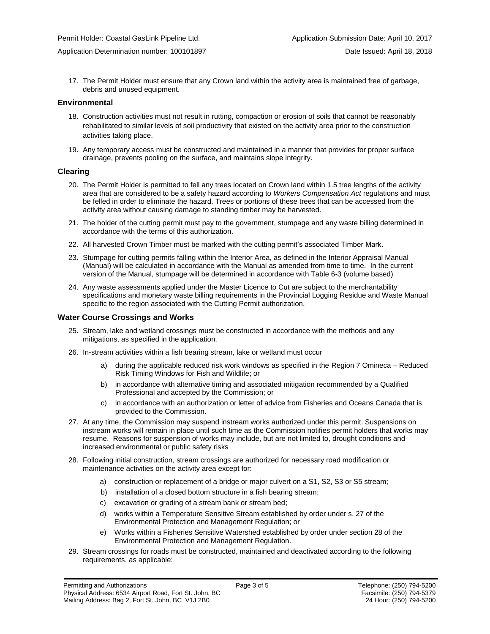17. The Permit Holder must ensure that any Crown land within the activity area is maintained free of garbage, debris and unused equipment.

#### **Environmental**

- 18. Construction activities must not result in rutting, compaction or erosion of soils that cannot be reasonably rehabilitated to similar levels of soil productivity that existed on the activity area prior to the construction activities taking place.
- 19. Any temporary access must be constructed and maintained in a manner that provides for proper surface drainage, prevents pooling on the surface, and maintains slope integrity.

#### **Clearing**

- 20. The Permit Holder is permitted to fell any trees located on Crown land within 1.5 tree lengths of the activity area that are considered to be a safety hazard according to *Workers Compensation Act* regulations and must be felled in order to eliminate the hazard. Trees or portions of these trees that can be accessed from the activity area without causing damage to standing timber may be harvested.
- 21. The holder of the cutting permit must pay to the government, stumpage and any waste billing determined in accordance with the terms of this authorization.
- 22. All harvested Crown Timber must be marked with the cutting permit's associated Timber Mark.
- 23. Stumpage for cutting permits falling within the Interior Area, as defined in the Interior Appraisal Manual (Manual) will be calculated in accordance with the Manual as amended from time to time. In the current version of the Manual, stumpage will be determined in accordance with Table 6-3 (volume based)
- 24. Any waste assessments applied under the Master Licence to Cut are subject to the merchantability specifications and monetary waste billing requirements in the Provincial Logging Residue and Waste Manual specific to the region associated with the Cutting Permit authorization.

#### **Water Course Crossings and Works**

- 25. Stream, lake and wetland crossings must be constructed in accordance with the methods and any mitigations, as specified in the application.
- 26. In-stream activities within a fish bearing stream, lake or wetland must occur
	- a) [during the applicable reduced risk work windows as specified in the](#page-2-0) Region 7 Omineca Reduced Risk Timing Windows for Fish and Wildlife; or
	- b) in accordance with alternative timing and associated mitigation recommended by a Qualified Professional and accepted by the Commission; or
	- c) in accordance with an authorization or letter of advice from Fisheries and Oceans Canada that is provided to the Commission.
- 27. At any time, the Commission may suspend instream works authorized under this permit. Suspensions on instream works will remain in place until such time as the Commission notifies permit holders that works may resume. Reasons for suspension of works may include, but are not limited to, drought conditions and increased environmental or public safety risks
- 28. Following initial construction, stream crossings are authorized for necessary road modification or maintenance activities on the activity area except for:
	- a) construction or replacement of a bridge or major culvert on a S1, S2, S3 or S5 stream;
	- b) installation of a closed bottom structure in a fish bearing stream;
	- c) excavation or grading of a stream bank or stream bed;
	- d) works within a Temperature Sensitive Stream established by order under s. 27 of the Environmental Protection and Management Regulation; or
	- e) Works within a Fisheries Sensitive Watershed established by order under section 28 of the Environmental Protection and Management Regulation.
- 29. Stream crossings for roads must be constructed, maintained and deactivated according to the following requirements, as applicable: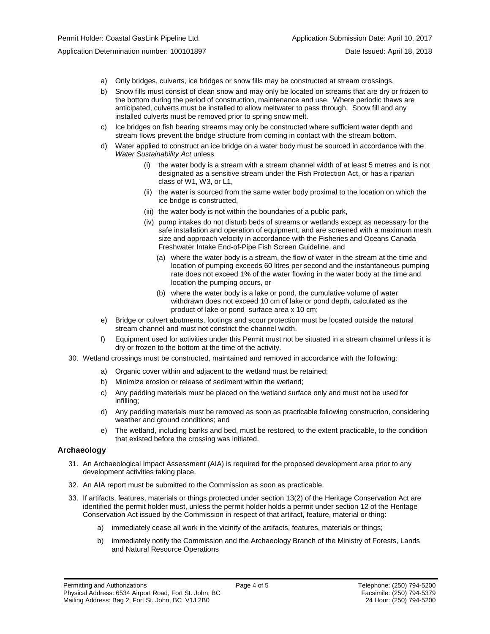- a) Only bridges, culverts, ice bridges or snow fills may be constructed at stream crossings.
- b) Snow fills must consist of clean snow and may only be located on streams that are dry or frozen to the bottom during the period of construction, maintenance and use. Where periodic thaws are anticipated, culverts must be installed to allow meltwater to pass through. Snow fill and any installed culverts must be removed prior to spring snow melt.
- c) Ice bridges on fish bearing streams may only be constructed where sufficient water depth and stream flows prevent the bridge structure from coming in contact with the stream bottom.
- d) Water applied to construct an ice bridge on a water body must be sourced in accordance with the *Water Sustainability Act* unless
	- (i) the water body is a stream with a stream channel width of at least 5 metres and is not designated as a sensitive stream under the Fish Protection Act, or has a riparian class of W1, W3, or L1,
	- (ii) the water is sourced from the same water body proximal to the location on which the ice bridge is constructed,
	- (iii) the water body is not within the boundaries of a public park,
	- (iv) pump intakes do not disturb beds of streams or wetlands except as necessary for the safe installation and operation of equipment, and are screened with a maximum mesh size and approach velocity in accordance with the Fisheries and Oceans Canada Freshwater Intake End-of-Pipe Fish Screen Guideline, and
		- (a) where the water body is a stream, the flow of water in the stream at the time and location of pumping exceeds 60 litres per second and the instantaneous pumping rate does not exceed 1% of the water flowing in the water body at the time and location the pumping occurs, or
		- (b) where the water body is a lake or pond, the cumulative volume of water withdrawn does not exceed 10 cm of lake or pond depth, calculated as the product of lake or pond surface area x 10 cm;
- e) Bridge or culvert abutments, footings and scour protection must be located outside the natural stream channel and must not constrict the channel width.
- f) Equipment used for activities under this Permit must not be situated in a stream channel unless it is dry or frozen to the bottom at the time of the activity.
- 30. Wetland crossings must be constructed, maintained and removed in accordance with the following:
	- a) Organic cover within and adjacent to the wetland must be retained;
	- b) Minimize erosion or release of sediment within the wetland;
	- c) Any padding materials must be placed on the wetland surface only and must not be used for infilling;
	- d) Any padding materials must be removed as soon as practicable following construction, considering weather and ground conditions; and
	- e) The wetland, including banks and bed, must be restored, to the extent practicable, to the condition that existed before the crossing was initiated.

### **Archaeology**

- 31. An Archaeological Impact Assessment (AIA) is required for the proposed development area prior to any development activities taking place.
- 32. An AIA report must be submitted to the Commission as soon as practicable.
- 33. If artifacts, features, materials or things protected under section 13(2) of the Heritage Conservation Act are identified the permit holder must, unless the permit holder holds a permit under section 12 of the Heritage Conservation Act issued by the Commission in respect of that artifact, feature, material or thing:
	- a) immediately cease all work in the vicinity of the artifacts, features, materials or things;
	- b) immediately notify the Commission and the Archaeology Branch of the Ministry of Forests, Lands and Natural Resource Operations